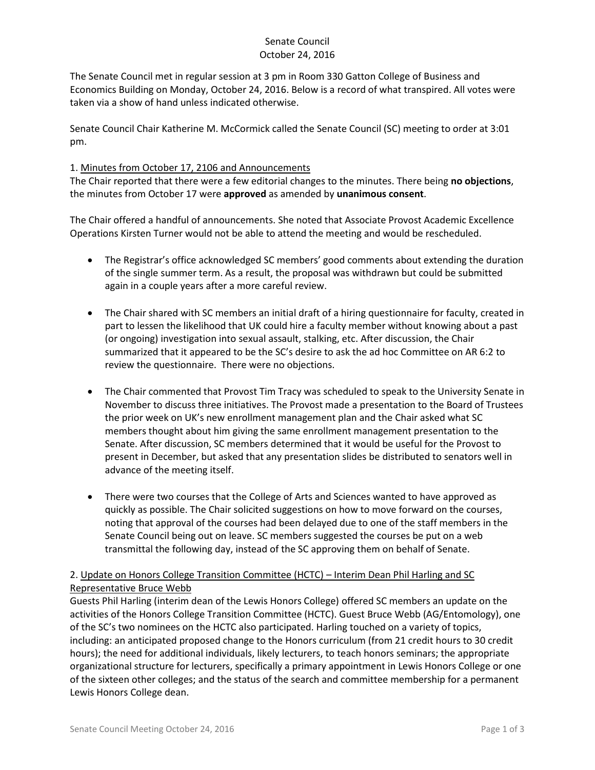# Senate Council October 24, 2016

The Senate Council met in regular session at 3 pm in Room 330 Gatton College of Business and Economics Building on Monday, October 24, 2016. Below is a record of what transpired. All votes were taken via a show of hand unless indicated otherwise.

Senate Council Chair Katherine M. McCormick called the Senate Council (SC) meeting to order at 3:01 pm.

## 1. Minutes from October 17, 2106 and Announcements

The Chair reported that there were a few editorial changes to the minutes. There being **no objections**, the minutes from October 17 were **approved** as amended by **unanimous consent**.

The Chair offered a handful of announcements. She noted that Associate Provost Academic Excellence Operations Kirsten Turner would not be able to attend the meeting and would be rescheduled.

- The Registrar's office acknowledged SC members' good comments about extending the duration of the single summer term. As a result, the proposal was withdrawn but could be submitted again in a couple years after a more careful review.
- The Chair shared with SC members an initial draft of a hiring questionnaire for faculty, created in part to lessen the likelihood that UK could hire a faculty member without knowing about a past (or ongoing) investigation into sexual assault, stalking, etc. After discussion, the Chair summarized that it appeared to be the SC's desire to ask the ad hoc Committee on AR 6:2 to review the questionnaire. There were no objections.
- The Chair commented that Provost Tim Tracy was scheduled to speak to the University Senate in November to discuss three initiatives. The Provost made a presentation to the Board of Trustees the prior week on UK's new enrollment management plan and the Chair asked what SC members thought about him giving the same enrollment management presentation to the Senate. After discussion, SC members determined that it would be useful for the Provost to present in December, but asked that any presentation slides be distributed to senators well in advance of the meeting itself.
- There were two courses that the College of Arts and Sciences wanted to have approved as quickly as possible. The Chair solicited suggestions on how to move forward on the courses, noting that approval of the courses had been delayed due to one of the staff members in the Senate Council being out on leave. SC members suggested the courses be put on a web transmittal the following day, instead of the SC approving them on behalf of Senate.

# 2. Update on Honors College Transition Committee (HCTC) – Interim Dean Phil Harling and SC Representative Bruce Webb

Guests Phil Harling (interim dean of the Lewis Honors College) offered SC members an update on the activities of the Honors College Transition Committee (HCTC). Guest Bruce Webb (AG/Entomology), one of the SC's two nominees on the HCTC also participated. Harling touched on a variety of topics, including: an anticipated proposed change to the Honors curriculum (from 21 credit hours to 30 credit hours); the need for additional individuals, likely lecturers, to teach honors seminars; the appropriate organizational structure for lecturers, specifically a primary appointment in Lewis Honors College or one of the sixteen other colleges; and the status of the search and committee membership for a permanent Lewis Honors College dean.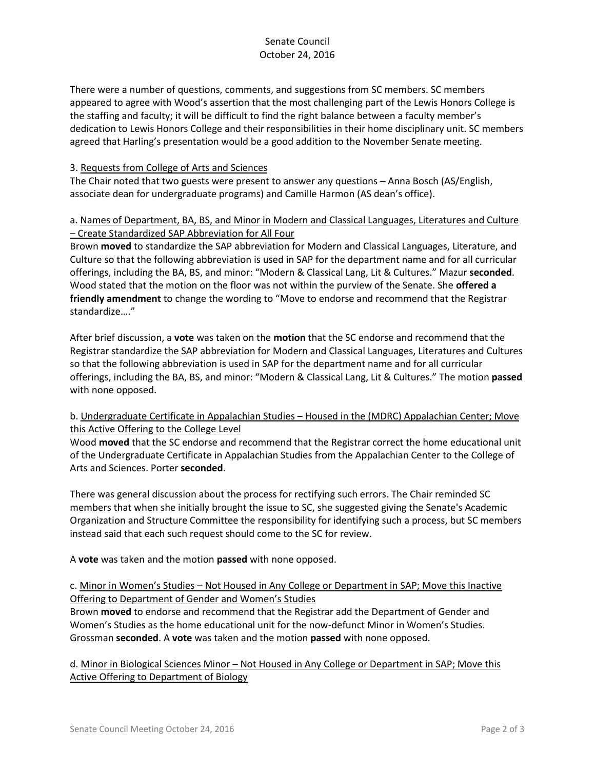There were a number of questions, comments, and suggestions from SC members. SC members appeared to agree with Wood's assertion that the most challenging part of the Lewis Honors College is the staffing and faculty; it will be difficult to find the right balance between a faculty member's dedication to Lewis Honors College and their responsibilities in their home disciplinary unit. SC members agreed that Harling's presentation would be a good addition to the November Senate meeting.

#### 3. Requests from College of Arts and Sciences

The Chair noted that two guests were present to answer any questions – Anna Bosch (AS/English, associate dean for undergraduate programs) and Camille Harmon (AS dean's office).

### a. Names of Department, BA, BS, and Minor in Modern and Classical Languages, Literatures and Culture – Create Standardized SAP Abbreviation for All Four

Brown **moved** to standardize the SAP abbreviation for Modern and Classical Languages, Literature, and Culture so that the following abbreviation is used in SAP for the department name and for all curricular offerings, including the BA, BS, and minor: "Modern & Classical Lang, Lit & Cultures." Mazur **seconded**. Wood stated that the motion on the floor was not within the purview of the Senate. She **offered a friendly amendment** to change the wording to "Move to endorse and recommend that the Registrar standardize…."

After brief discussion, a **vote** was taken on the **motion** that the SC endorse and recommend that the Registrar standardize the SAP abbreviation for Modern and Classical Languages, Literatures and Cultures so that the following abbreviation is used in SAP for the department name and for all curricular offerings, including the BA, BS, and minor: "Modern & Classical Lang, Lit & Cultures." The motion **passed** with none opposed.

### b. Undergraduate Certificate in Appalachian Studies – Housed in the (MDRC) Appalachian Center; Move this Active Offering to the College Level

Wood **moved** that the SC endorse and recommend that the Registrar correct the home educational unit of the Undergraduate Certificate in Appalachian Studies from the Appalachian Center to the College of Arts and Sciences. Porter **seconded**.

There was general discussion about the process for rectifying such errors. The Chair reminded SC members that when she initially brought the issue to SC, she suggested giving the Senate's Academic Organization and Structure Committee the responsibility for identifying such a process, but SC members instead said that each such request should come to the SC for review.

A **vote** was taken and the motion **passed** with none opposed.

### c. Minor in Women's Studies – Not Housed in Any College or Department in SAP; Move this Inactive Offering to Department of Gender and Women's Studies

Brown **moved** to endorse and recommend that the Registrar add the Department of Gender and Women's Studies as the home educational unit for the now-defunct Minor in Women's Studies. Grossman **seconded**. A **vote** was taken and the motion **passed** with none opposed.

d. Minor in Biological Sciences Minor – Not Housed in Any College or Department in SAP; Move this Active Offering to Department of Biology